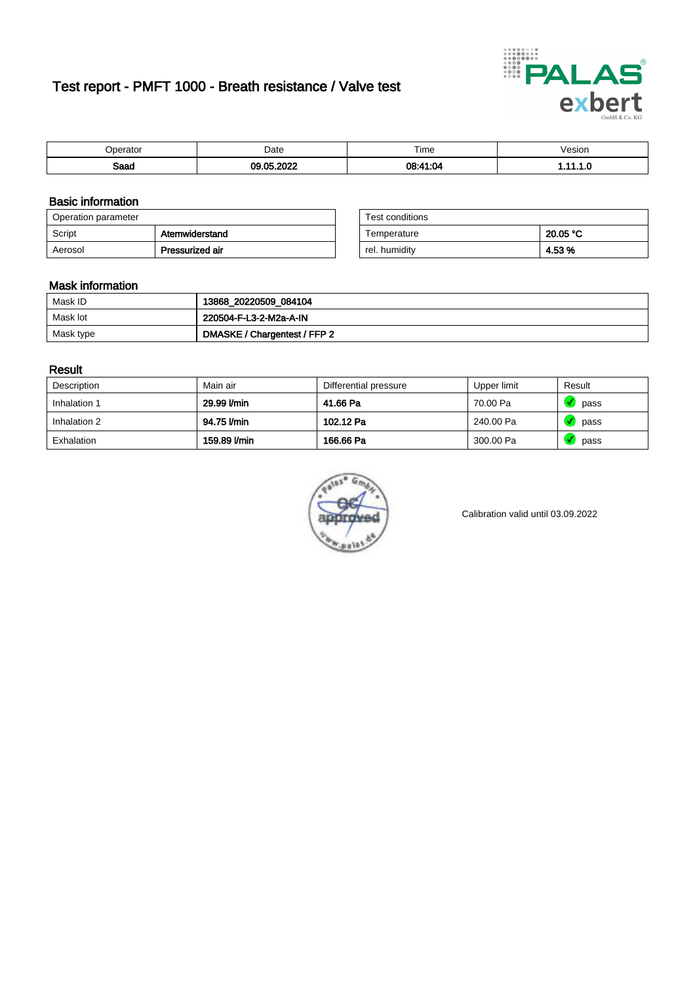# Test report - PMFT 1000 - Breath resistance / Valve test



| .                   | Date | $- \cdot$<br>Time<br>. | /esion<br>. |
|---------------------|------|------------------------|-------------|
| <b>Rood</b><br>oaau | .    | .04<br><b>00.44</b>    | .           |

### Basic information

| Operation parameter |                 | Test conditions |          |
|---------------------|-----------------|-----------------|----------|
| Script              | Atemwiderstand  | Temperature     | 20.05 °C |
| Aerosol             | Pressurized air | rel. humidity   | 4.53%    |

| Test conditions |          |
|-----------------|----------|
| Temperature     | 20.05 °C |
| rel. humidity   | 4.53 %   |

#### Mask information

| Mask ID   | 13868_20220509_084104        |
|-----------|------------------------------|
| Mask lot  | 220504-F-L3-2-M2a-A-IN       |
| Mask type | DMASKE / Chargentest / FFP 2 |

### Result

| Description  | Main air     | Differential pressure | Upper limit | Result |
|--------------|--------------|-----------------------|-------------|--------|
| Inhalation 1 | 29.99 l/min  | 41.66 Pa              | 70.00 Pa    | pass   |
| Inhalation 2 | 94.75 l/min  | 102.12 Pa             | 240.00 Pa   | pass   |
| Exhalation   | 159.89 l/min | 166.66 Pa             | 300.00 Pa   | pass   |



Calibration valid until 03.09.2022